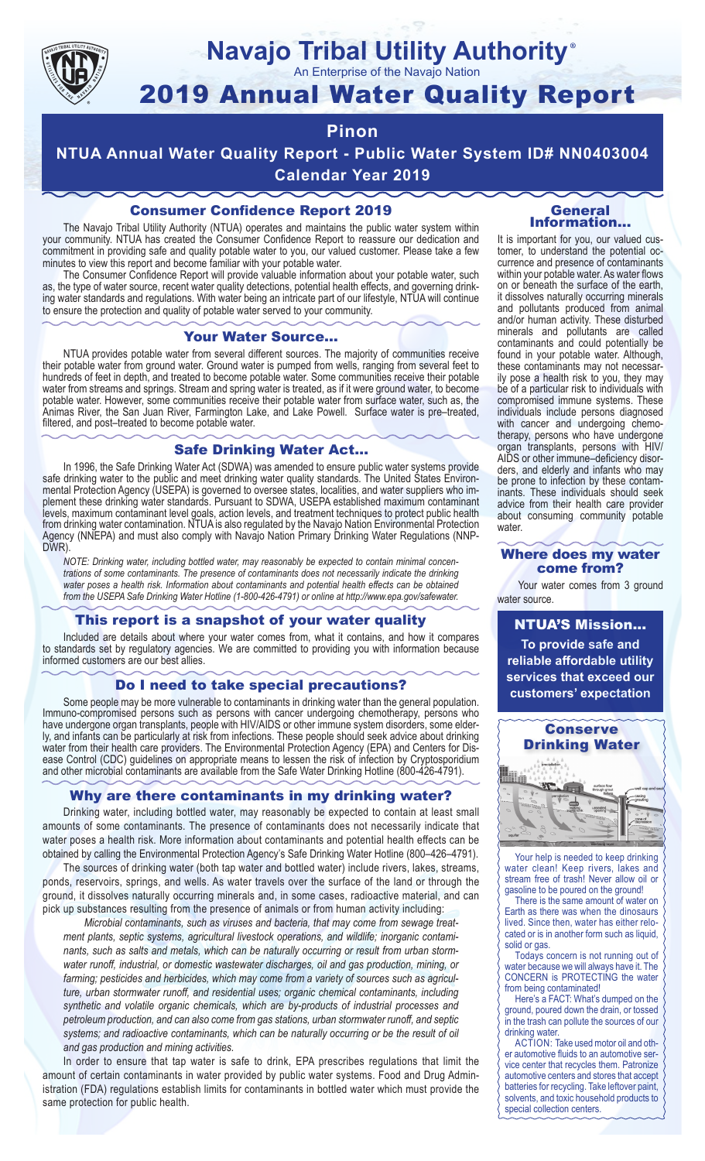

# **Navajo Tribal Utility Authority**

An Enterprise of the Navajo Nation

# 2019 Annual Water Quality Report

# **Pinon**

**NTUA Annual Water Quality Report - Public Water System ID# NN0403004 Calendar Year 2019**

# Consumer Confidence Report 2019

The Navajo Tribal Utility Authority (NTUA) operates and maintains the public water system within your community. NTUA has created the Consumer Confidence Report to reassure our dedication and commitment in providing safe and quality potable water to you, our valued customer. Please take a few minutes to view this report and become familiar with your potable water.

The Consumer Confidence Report will provide valuable information about your potable water, such as, the type of water source, recent water quality detections, potential health effects, and governing drinking water standards and regulations. With water being an intricate part of our lifestyle, NTUA will continue to ensure the protection and quality of potable water served to your community.

#### Your Water Source…

NTUA provides potable water from several different sources. The majority of communities receive their potable water from ground water. Ground water is pumped from wells, ranging from several feet to hundreds of feet in depth, and treated to become potable water. Some communities receive their potable water from streams and springs. Stream and spring water is treated, as if it were ground water, to become potable water. However, some communities receive their potable water from surface water, such as, the Animas River, the San Juan River, Farmington Lake, and Lake Powell. Surface water is pre–treated, filtered, and post–treated to become potable water.

### Safe Drinking Water Act…

In 1996, the Safe Drinking Water Act (SDWA) was amended to ensure public water systems provide safe drinking water to the public and meet drinking water quality standards. The United States Environmental Protection Agency (USEPA) is governed to oversee states, localities, and water suppliers who implement these drinking water standards. Pursuant to SDWA, USEPA established maximum contaminant levels, maximum contaminant level goals, action levels, and treatment techniques to protect public health from drinking water contamination. NTUA is also regulated by the Navajo Nation Environmental Protection Agency (NNEPA) and must also comply with Navajo Nation Primary Drinking Water Regulations (NNP-DWR)

*NOTE: Drinking water, including bottled water, may reasonably be expected to contain minimal concentrations of some contaminants. The presence of contaminants does not necessarily indicate the drinking water poses a health risk. Information about contaminants and potential health effects can be obtained from the USEPA Safe Drinking Water Hotline (1-800-426-4791) or online at http://www.epa.gov/safewater.*

## This report is a snapshot of your water quality

Included are details about where your water comes from, what it contains, and how it compares to standards set by regulatory agencies. We are committed to providing you with information because informed customers are our best allies.

## Do I need to take special precautions?

Some people may be more vulnerable to contaminants in drinking water than the general population. Immuno-compromised persons such as persons with cancer undergoing chemotherapy, persons who have undergone organ transplants, people with HIV/AIDS or other immune system disorders, some elderly, and infants can be particularly at risk from infections. These people should seek advice about drinking water from their health care providers. The Environmental Protection Agency (EPA) and Centers for Disease Control (CDC) guidelines on appropriate means to lessen the risk of infection by Cryptosporidium and other microbial contaminants are available from the Safe Water Drinking Hotline (800-426-4791).

## Why are there contaminants in my drinking water?

Drinking water, including bottled water, may reasonably be expected to contain at least small amounts of some contaminants. The presence of contaminants does not necessarily indicate that water poses a health risk. More information about contaminants and potential health effects can be obtained by calling the Environmental Protection Agency's Safe Drinking Water Hotline (800–426–4791).

The sources of drinking water (both tap water and bottled water) include rivers, lakes, streams, ponds, reservoirs, springs, and wells. As water travels over the surface of the land or through the ground, it dissolves naturally occurring minerals and, in some cases, radioactive material, and can pick up substances resulting from the presence of animals or from human activity including:

*Microbial contaminants, such as viruses and bacteria, that may come from sewage treatment plants, septic systems, agricultural livestock operations, and wildlife; inorganic contaminants, such as salts and metals, which can be naturally occurring or result from urban stormwater runoff, industrial, or domestic wastewater discharges, oil and gas production, mining, or farming; pesticides and herbicides, which may come from a variety of sources such as agriculture, urban stormwater runoff, and residential uses; organic chemical contaminants, including synthetic and volatile organic chemicals, which are by-products of industrial processes and petroleum production, and can also come from gas stations, urban stormwater runoff, and septic systems; and radioactive contaminants, which can be naturally occurring or be the result of oil and gas production and mining activities.*

In order to ensure that tap water is safe to drink, EPA prescribes regulations that limit the amount of certain contaminants in water provided by public water systems. Food and Drug Administration (FDA) regulations establish limits for contaminants in bottled water which must provide the same protection for public health.

#### General Information…

®

It is important for you, our valued customer, to understand the potential occurrence and presence of contaminants within your potable water. As water flows on or beneath the surface of the earth, it dissolves naturally occurring minerals and pollutants produced from animal and/or human activity. These disturbed minerals and pollutants are called contaminants and could potentially be found in your potable water. Although, these contaminants may not necessarily pose a health risk to you, they may be of a particular risk to individuals with compromised immune systems. These individuals include persons diagnosed with cancer and undergoing chemo-<br>therapy, persons who have undergone organ transplants, persons with HIV/ AIDS or other immune–deficiency disor- ders, and elderly and infants who may be prone to infection by these contam- inants. These individuals should seek advice from their health care provider about consuming community potable water.

#### Where does my water come from?

Your water comes from 3 ground water source.

NTUA'S Mission... **To provide safe and reliable affordable utility services that exceed our customers' expectation**



Your help is needed to keep drinking water clean! Keep rivers, lakes and stream free of trash! Never allow oil or gasoline to be poured on the ground!

There is the same amount of water on Earth as there was when the dinosaurs lived. Since then, water has either relocated or is in another form such as liquid, solid or gas.

Todays concern is not running out of water because we will always have it. The CONCERN is PROTECTING the water from being contaminated!

Here's a FACT: What's dumped on the ground, poured down the drain, or tossed in the trash can pollute the sources of our drinking water.

ACTION: Take used motor oil and other automotive fluids to an automotive service center that recycles them. Patronize automotive centers and stores that accept batteries for recycling. Take leftover paint, solvents, and toxic household products to special collection centers.